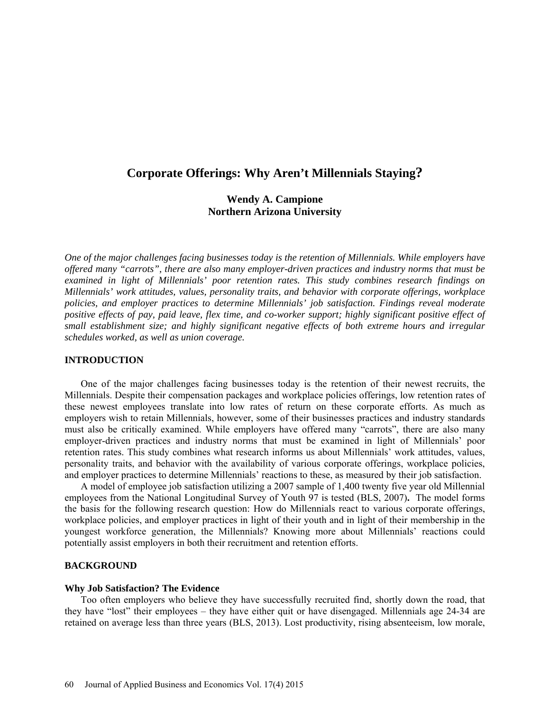# **Corporate Offerings: Why Aren't Millennials Staying?**

# **Wendy A. Campione Northern Arizona University**

*One of the major challenges facing businesses today is the retention of Millennials. While employers have offered many "carrots", there are also many employer-driven practices and industry norms that must be examined in light of Millennials' poor retention rates. This study combines research findings on Millennials' work attitudes, values, personality traits, and behavior with corporate offerings, workplace policies, and employer practices to determine Millennials' job satisfaction. Findings reveal moderate positive effects of pay, paid leave, flex time, and co-worker support; highly significant positive effect of small establishment size; and highly significant negative effects of both extreme hours and irregular schedules worked, as well as union coverage.*

### **INTRODUCTION**

One of the major challenges facing businesses today is the retention of their newest recruits, the Millennials. Despite their compensation packages and workplace policies offerings, low retention rates of these newest employees translate into low rates of return on these corporate efforts. As much as employers wish to retain Millennials, however, some of their businesses practices and industry standards must also be critically examined. While employers have offered many "carrots", there are also many employer-driven practices and industry norms that must be examined in light of Millennials' poor retention rates. This study combines what research informs us about Millennials' work attitudes, values, personality traits, and behavior with the availability of various corporate offerings, workplace policies, and employer practices to determine Millennials' reactions to these, as measured by their job satisfaction.

A model of employee job satisfaction utilizing a 2007 sample of 1,400 twenty five year old Millennial employees from the National Longitudinal Survey of Youth 97 is tested (BLS, 2007)**.** The model forms the basis for the following research question: How do Millennials react to various corporate offerings, workplace policies, and employer practices in light of their youth and in light of their membership in the youngest workforce generation, the Millennials? Knowing more about Millennials' reactions could potentially assist employers in both their recruitment and retention efforts.

# **BACKGROUND**

### **Why Job Satisfaction? The Evidence**

Too often employers who believe they have successfully recruited find, shortly down the road, that they have "lost" their employees – they have either quit or have disengaged. Millennials age 24-34 are retained on average less than three years (BLS, 2013). Lost productivity, rising absenteeism, low morale,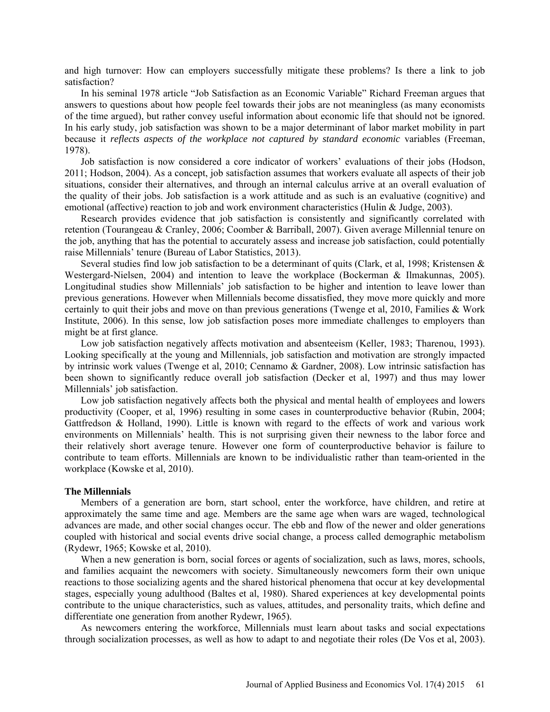and high turnover: How can employers successfully mitigate these problems? Is there a link to job satisfaction?

In his seminal 1978 article "Job Satisfaction as an Economic Variable" Richard Freeman argues that answers to questions about how people feel towards their jobs are not meaningless (as many economists of the time argued), but rather convey useful information about economic life that should not be ignored. In his early study, job satisfaction was shown to be a major determinant of labor market mobility in part because it *reflects aspects of the workplace not captured by standard economic* variables (Freeman, 1978).

Job satisfaction is now considered a core indicator of workers' evaluations of their jobs (Hodson, 2011; Hodson, 2004). As a concept, job satisfaction assumes that workers evaluate all aspects of their job situations, consider their alternatives, and through an internal calculus arrive at an overall evaluation of the quality of their jobs. Job satisfaction is a work attitude and as such is an evaluative (cognitive) and emotional (affective) reaction to job and work environment characteristics (Hulin & Judge, 2003).

Research provides evidence that job satisfaction is consistently and significantly correlated with retention (Tourangeau & Cranley, 2006; Coomber & Barriball, 2007). Given average Millennial tenure on the job, anything that has the potential to accurately assess and increase job satisfaction, could potentially raise Millennials' tenure (Bureau of Labor Statistics, 2013).

Several studies find low job satisfaction to be a determinant of quits (Clark, et al, 1998; Kristensen & Westergard-Nielsen, 2004) and intention to leave the workplace (Bockerman & Ilmakunnas, 2005). Longitudinal studies show Millennials' job satisfaction to be higher and intention to leave lower than previous generations. However when Millennials become dissatisfied, they move more quickly and more certainly to quit their jobs and move on than previous generations (Twenge et al, 2010, Families & Work Institute, 2006). In this sense, low job satisfaction poses more immediate challenges to employers than might be at first glance.

Low job satisfaction negatively affects motivation and absenteeism (Keller, 1983; Tharenou, 1993). Looking specifically at the young and Millennials, job satisfaction and motivation are strongly impacted by intrinsic work values (Twenge et al, 2010; Cennamo & Gardner, 2008). Low intrinsic satisfaction has been shown to significantly reduce overall job satisfaction (Decker et al, 1997) and thus may lower Millennials' job satisfaction.

Low job satisfaction negatively affects both the physical and mental health of employees and lowers productivity (Cooper, et al, 1996) resulting in some cases in counterproductive behavior (Rubin, 2004; Gattfredson & Holland, 1990). Little is known with regard to the effects of work and various work environments on Millennials' health. This is not surprising given their newness to the labor force and their relatively short average tenure. However one form of counterproductive behavior is failure to contribute to team efforts. Millennials are known to be individualistic rather than team-oriented in the workplace (Kowske et al, 2010).

### **The Millennials**

Members of a generation are born, start school, enter the workforce, have children, and retire at approximately the same time and age. Members are the same age when wars are waged, technological advances are made, and other social changes occur. The ebb and flow of the newer and older generations coupled with historical and social events drive social change, a process called demographic metabolism (Rydewr, 1965; Kowske et al, 2010).

When a new generation is born, social forces or agents of socialization, such as laws, mores, schools, and families acquaint the newcomers with society. Simultaneously newcomers form their own unique reactions to those socializing agents and the shared historical phenomena that occur at key developmental stages, especially young adulthood (Baltes et al, 1980). Shared experiences at key developmental points contribute to the unique characteristics, such as values, attitudes, and personality traits, which define and differentiate one generation from another Rydewr, 1965).

As newcomers entering the workforce, Millennials must learn about tasks and social expectations through socialization processes, as well as how to adapt to and negotiate their roles (De Vos et al, 2003).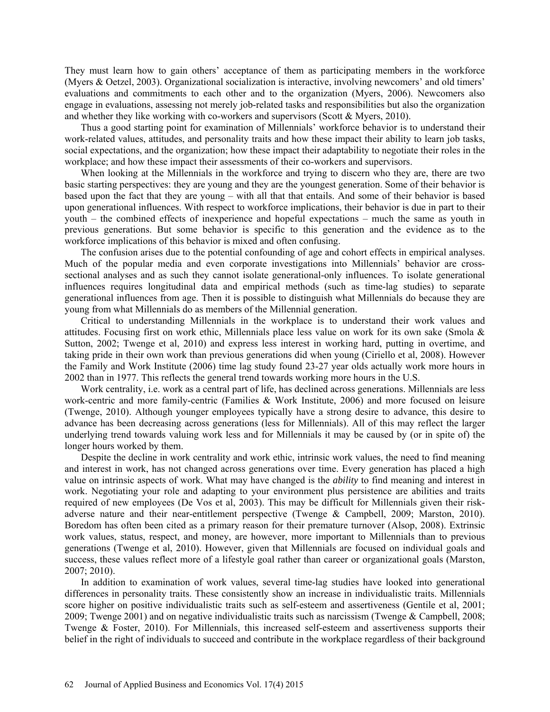They must learn how to gain others' acceptance of them as participating members in the workforce (Myers & Oetzel, 2003). Organizational socialization is interactive, involving newcomers' and old timers' evaluations and commitments to each other and to the organization (Myers, 2006). Newcomers also engage in evaluations, assessing not merely job-related tasks and responsibilities but also the organization and whether they like working with co-workers and supervisors (Scott & Myers, 2010).

Thus a good starting point for examination of Millennials' workforce behavior is to understand their work-related values, attitudes, and personality traits and how these impact their ability to learn job tasks, social expectations, and the organization; how these impact their adaptability to negotiate their roles in the workplace; and how these impact their assessments of their co-workers and supervisors.

When looking at the Millennials in the workforce and trying to discern who they are, there are two basic starting perspectives: they are young and they are the youngest generation. Some of their behavior is based upon the fact that they are young – with all that that entails. And some of their behavior is based upon generational influences. With respect to workforce implications, their behavior is due in part to their youth – the combined effects of inexperience and hopeful expectations – much the same as youth in previous generations. But some behavior is specific to this generation and the evidence as to the workforce implications of this behavior is mixed and often confusing.

The confusion arises due to the potential confounding of age and cohort effects in empirical analyses. Much of the popular media and even corporate investigations into Millennials' behavior are crosssectional analyses and as such they cannot isolate generational-only influences. To isolate generational influences requires longitudinal data and empirical methods (such as time-lag studies) to separate generational influences from age. Then it is possible to distinguish what Millennials do because they are young from what Millennials do as members of the Millennial generation.

Critical to understanding Millennials in the workplace is to understand their work values and attitudes. Focusing first on work ethic, Millennials place less value on work for its own sake (Smola & Sutton, 2002; Twenge et al, 2010) and express less interest in working hard, putting in overtime, and taking pride in their own work than previous generations did when young (Ciriello et al, 2008). However the Family and Work Institute (2006) time lag study found 23-27 year olds actually work more hours in 2002 than in 1977. This reflects the general trend towards working more hours in the U.S.

Work centrality, i.e. work as a central part of life, has declined across generations. Millennials are less work-centric and more family-centric (Families & Work Institute, 2006) and more focused on leisure (Twenge, 2010). Although younger employees typically have a strong desire to advance, this desire to advance has been decreasing across generations (less for Millennials). All of this may reflect the larger underlying trend towards valuing work less and for Millennials it may be caused by (or in spite of) the longer hours worked by them.

Despite the decline in work centrality and work ethic, intrinsic work values, the need to find meaning and interest in work, has not changed across generations over time. Every generation has placed a high value on intrinsic aspects of work. What may have changed is the *ability* to find meaning and interest in work. Negotiating your role and adapting to your environment plus persistence are abilities and traits required of new employees (De Vos et al, 2003). This may be difficult for Millennials given their riskadverse nature and their near-entitlement perspective (Twenge & Campbell, 2009; Marston, 2010). Boredom has often been cited as a primary reason for their premature turnover (Alsop, 2008). Extrinsic work values, status, respect, and money, are however, more important to Millennials than to previous generations (Twenge et al, 2010). However, given that Millennials are focused on individual goals and success, these values reflect more of a lifestyle goal rather than career or organizational goals (Marston, 2007; 2010).

In addition to examination of work values, several time-lag studies have looked into generational differences in personality traits. These consistently show an increase in individualistic traits. Millennials score higher on positive individualistic traits such as self-esteem and assertiveness (Gentile et al, 2001; 2009; Twenge 2001) and on negative individualistic traits such as narcissism (Twenge & Campbell, 2008; Twenge & Foster, 2010). For Millennials, this increased self-esteem and assertiveness supports their belief in the right of individuals to succeed and contribute in the workplace regardless of their background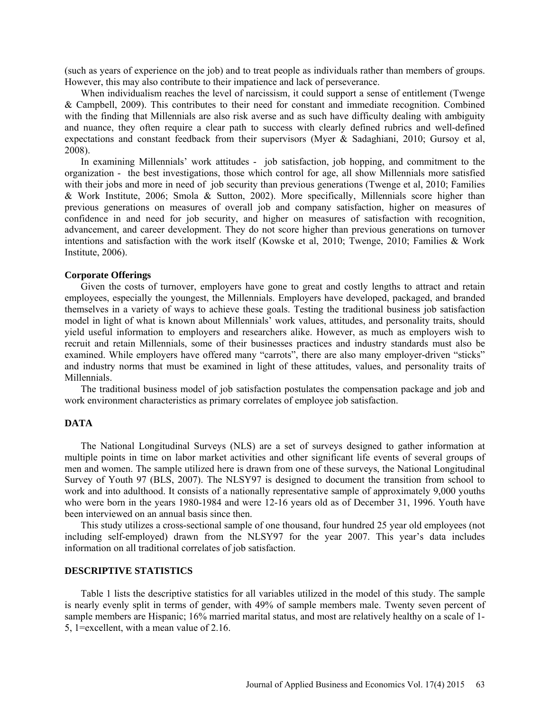(such as years of experience on the job) and to treat people as individuals rather than members of groups. However, this may also contribute to their impatience and lack of perseverance.

When individualism reaches the level of narcissism, it could support a sense of entitlement (Twenge & Campbell, 2009). This contributes to their need for constant and immediate recognition. Combined with the finding that Millennials are also risk averse and as such have difficulty dealing with ambiguity and nuance, they often require a clear path to success with clearly defined rubrics and well-defined expectations and constant feedback from their supervisors (Myer & Sadaghiani, 2010; Gursoy et al, 2008).

In examining Millennials' work attitudes - job satisfaction, job hopping, and commitment to the organization - the best investigations, those which control for age, all show Millennials more satisfied with their jobs and more in need of job security than previous generations (Twenge et al, 2010; Families & Work Institute, 2006; Smola & Sutton, 2002). More specifically, Millennials score higher than previous generations on measures of overall job and company satisfaction, higher on measures of confidence in and need for job security, and higher on measures of satisfaction with recognition, advancement, and career development. They do not score higher than previous generations on turnover intentions and satisfaction with the work itself (Kowske et al, 2010; Twenge, 2010; Families & Work Institute, 2006).

#### **Corporate Offerings**

Given the costs of turnover, employers have gone to great and costly lengths to attract and retain employees, especially the youngest, the Millennials. Employers have developed, packaged, and branded themselves in a variety of ways to achieve these goals. Testing the traditional business job satisfaction model in light of what is known about Millennials' work values, attitudes, and personality traits, should yield useful information to employers and researchers alike. However, as much as employers wish to recruit and retain Millennials, some of their businesses practices and industry standards must also be examined. While employers have offered many "carrots", there are also many employer-driven "sticks" and industry norms that must be examined in light of these attitudes, values, and personality traits of Millennials.

The traditional business model of job satisfaction postulates the compensation package and job and work environment characteristics as primary correlates of employee job satisfaction.

## **DATA**

The National Longitudinal Surveys (NLS) are a set of surveys designed to gather information at multiple points in time on labor market activities and other significant life events of several groups of men and women. The sample utilized here is drawn from one of these surveys, the National Longitudinal Survey of Youth 97 (BLS, 2007). The NLSY97 is designed to document the transition from school to work and into adulthood. It consists of a nationally representative sample of approximately 9,000 youths who were born in the years 1980-1984 and were 12-16 years old as of December 31, 1996. Youth have been interviewed on an annual basis since then.

This study utilizes a cross-sectional sample of one thousand, four hundred 25 year old employees (not including self-employed) drawn from the NLSY97 for the year 2007. This year's data includes information on all traditional correlates of job satisfaction.

### **DESCRIPTIVE STATISTICS**

Table 1 lists the descriptive statistics for all variables utilized in the model of this study. The sample is nearly evenly split in terms of gender, with 49% of sample members male. Twenty seven percent of sample members are Hispanic; 16% married marital status, and most are relatively healthy on a scale of 1- 5, 1=excellent, with a mean value of 2.16.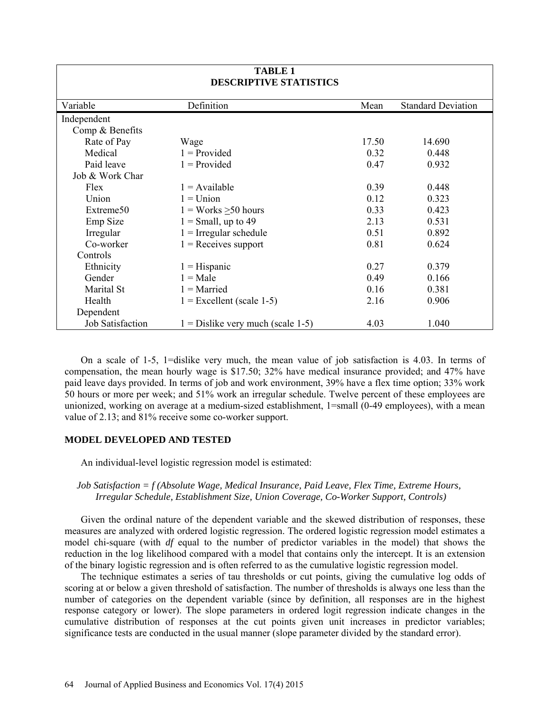| <b>TABLE 1</b><br><b>DESCRIPTIVE STATISTICS</b> |                                      |       |                           |  |  |
|-------------------------------------------------|--------------------------------------|-------|---------------------------|--|--|
| Variable                                        | Definition                           | Mean  | <b>Standard Deviation</b> |  |  |
| Independent                                     |                                      |       |                           |  |  |
| Comp & Benefits                                 |                                      |       |                           |  |  |
| Rate of Pay                                     | Wage                                 | 17.50 | 14.690                    |  |  |
| Medical                                         | $1 = \text{Provided}$                | 0.32  | 0.448                     |  |  |
| Paid leave                                      | $1 = \text{Provided}$                | 0.47  | 0.932                     |  |  |
| Job & Work Char                                 |                                      |       |                           |  |  |
| Flex                                            | $1 =$ Available                      | 0.39  | 0.448                     |  |  |
| Union                                           | $1 = Union$                          | 0.12  | 0.323                     |  |  |
| Extreme50                                       | $1 =$ Works > 50 hours               | 0.33  | 0.423                     |  |  |
| Emp Size                                        | $1 = Small, up to 49$                | 2.13  | 0.531                     |  |  |
| Irregular                                       | $1 =$ Irregular schedule             | 0.51  | 0.892                     |  |  |
| Co-worker                                       | $1 =$ Receives support               | 0.81  | 0.624                     |  |  |
| Controls                                        |                                      |       |                           |  |  |
| Ethnicity                                       | $1 =$ Hispanic                       | 0.27  | 0.379                     |  |  |
| Gender                                          | $1 = Male$                           | 0.49  | 0.166                     |  |  |
| Marital St                                      | $1 =$ Married                        | 0.16  | 0.381                     |  |  |
| Health                                          | $1 =$ Excellent (scale 1-5)          | 2.16  | 0.906                     |  |  |
| Dependent                                       |                                      |       |                           |  |  |
| Job Satisfaction                                | $1 = Distlike$ very much (scale 1-5) | 4.03  | 1.040                     |  |  |

On a scale of 1-5, 1=dislike very much, the mean value of job satisfaction is 4.03. In terms of compensation, the mean hourly wage is \$17.50; 32% have medical insurance provided; and 47% have paid leave days provided. In terms of job and work environment, 39% have a flex time option; 33% work 50 hours or more per week; and 51% work an irregular schedule. Twelve percent of these employees are unionized, working on average at a medium-sized establishment, 1=small (0-49 employees), with a mean value of 2.13; and 81% receive some co-worker support.

# **MODEL DEVELOPED AND TESTED**

An individual-level logistic regression model is estimated:

# *Job Satisfaction = f (Absolute Wage, Medical Insurance, Paid Leave, Flex Time, Extreme Hours, Irregular Schedule, Establishment Size, Union Coverage, Co-Worker Support, Controls)*

Given the ordinal nature of the dependent variable and the skewed distribution of responses, these measures are analyzed with ordered logistic regression. The ordered logistic regression model estimates a model chi-square (with *df* equal to the number of predictor variables in the model) that shows the reduction in the log likelihood compared with a model that contains only the intercept. It is an extension of the binary logistic regression and is often referred to as the cumulative logistic regression model.

The technique estimates a series of tau thresholds or cut points, giving the cumulative log odds of scoring at or below a given threshold of satisfaction. The number of thresholds is always one less than the number of categories on the dependent variable (since by definition, all responses are in the highest response category or lower). The slope parameters in ordered logit regression indicate changes in the cumulative distribution of responses at the cut points given unit increases in predictor variables; significance tests are conducted in the usual manner (slope parameter divided by the standard error).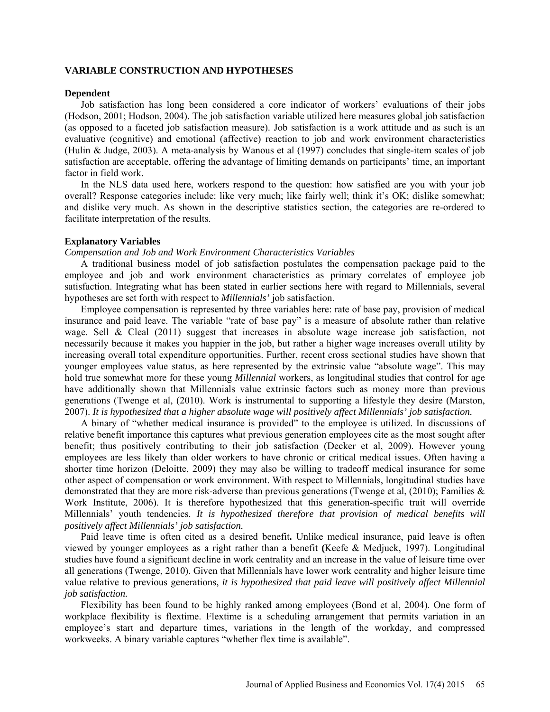### **VARIABLE CONSTRUCTION AND HYPOTHESES**

### **Dependent**

Job satisfaction has long been considered a core indicator of workers' evaluations of their jobs (Hodson, 2001; Hodson, 2004). The job satisfaction variable utilized here measures global job satisfaction (as opposed to a faceted job satisfaction measure). Job satisfaction is a work attitude and as such is an evaluative (cognitive) and emotional (affective) reaction to job and work environment characteristics (Hulin & Judge, 2003). A meta-analysis by Wanous et al (1997) concludes that single-item scales of job satisfaction are acceptable, offering the advantage of limiting demands on participants' time, an important factor in field work.

In the NLS data used here, workers respond to the question: how satisfied are you with your job overall? Response categories include: like very much; like fairly well; think it's OK; dislike somewhat; and dislike very much. As shown in the descriptive statistics section, the categories are re-ordered to facilitate interpretation of the results.

### **Explanatory Variables**

### *Compensation and Job and Work Environment Characteristics Variables*

A traditional business model of job satisfaction postulates the compensation package paid to the employee and job and work environment characteristics as primary correlates of employee job satisfaction. Integrating what has been stated in earlier sections here with regard to Millennials, several hypotheses are set forth with respect to *Millennials'* job satisfaction.

Employee compensation is represented by three variables here: rate of base pay, provision of medical insurance and paid leave. The variable "rate of base pay" is a measure of absolute rather than relative wage. Sell & Cleal (2011) suggest that increases in absolute wage increase job satisfaction, not necessarily because it makes you happier in the job, but rather a higher wage increases overall utility by increasing overall total expenditure opportunities. Further, recent cross sectional studies have shown that younger employees value status, as here represented by the extrinsic value "absolute wage". This may hold true somewhat more for these young *Millennial* workers, as longitudinal studies that control for age have additionally shown that Millennials value extrinsic factors such as money more than previous generations (Twenge et al, (2010). Work is instrumental to supporting a lifestyle they desire (Marston, 2007). *It is hypothesized that a higher absolute wage will positively affect Millennials' job satisfaction.* 

A binary of "whether medical insurance is provided" to the employee is utilized. In discussions of relative benefit importance this captures what previous generation employees cite as the most sought after benefit; thus positively contributing to their job satisfaction (Decker et al, 2009). However young employees are less likely than older workers to have chronic or critical medical issues. Often having a shorter time horizon (Deloitte, 2009) they may also be willing to tradeoff medical insurance for some other aspect of compensation or work environment. With respect to Millennials, longitudinal studies have demonstrated that they are more risk-adverse than previous generations (Twenge et al,  $(2010)$ ; Families  $\&$ Work Institute, 2006). It is therefore hypothesized that this generation-specific trait will override Millennials' youth tendencies. *It is hypothesized therefore that provision of medical benefits will positively affect Millennials' job satisfaction.*

Paid leave time is often cited as a desired benefit**.** Unlike medical insurance, paid leave is often viewed by younger employees as a right rather than a benefit **(**Keefe & Medjuck, 1997). Longitudinal studies have found a significant decline in work centrality and an increase in the value of leisure time over all generations (Twenge, 2010). Given that Millennials have lower work centrality and higher leisure time value relative to previous generations, *it is hypothesized that paid leave will positively affect Millennial job satisfaction.* 

Flexibility has been found to be highly ranked among employees (Bond et al, 2004). One form of workplace flexibility is flextime. Flextime is a scheduling arrangement that permits variation in an employee's start and departure times, variations in the length of the workday, and compressed workweeks. A binary variable captures "whether flex time is available".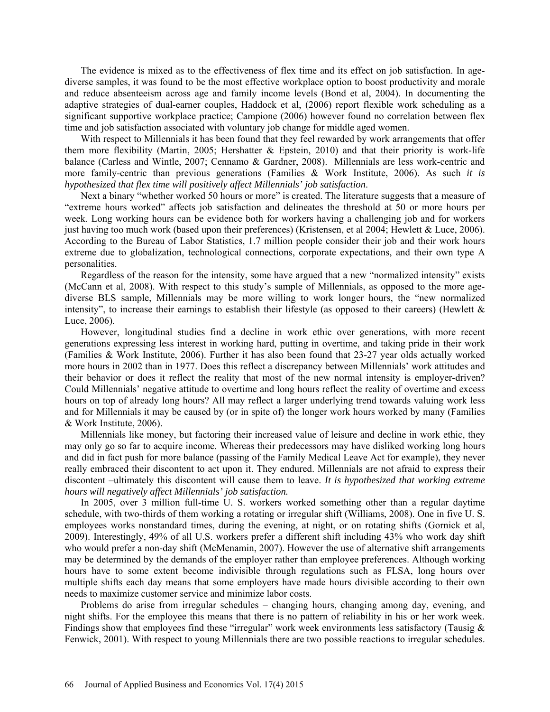The evidence is mixed as to the effectiveness of flex time and its effect on job satisfaction. In agediverse samples, it was found to be the most effective workplace option to boost productivity and morale and reduce absenteeism across age and family income levels (Bond et al, 2004). In documenting the adaptive strategies of dual-earner couples, Haddock et al, (2006) report flexible work scheduling as a significant supportive workplace practice; Campione (2006) however found no correlation between flex time and job satisfaction associated with voluntary job change for middle aged women.

With respect to Millennials it has been found that they feel rewarded by work arrangements that offer them more flexibility (Martin, 2005; Hershatter  $\&$  Epstein, 2010) and that their priority is work-life balance (Carless and Wintle, 2007; Cennamo & Gardner, 2008). Millennials are less work-centric and more family-centric than previous generations (Families & Work Institute, 2006). As such *it is hypothesized that flex time will positively affect Millennials' job satisfaction*.

Next a binary "whether worked 50 hours or more" is created. The literature suggests that a measure of "extreme hours worked" affects job satisfaction and delineates the threshold at 50 or more hours per week. Long working hours can be evidence both for workers having a challenging job and for workers just having too much work (based upon their preferences) (Kristensen, et al 2004; Hewlett & Luce, 2006). According to the Bureau of Labor Statistics, 1.7 million people consider their job and their work hours extreme due to globalization, technological connections, corporate expectations, and their own type A personalities.

Regardless of the reason for the intensity, some have argued that a new "normalized intensity" exists (McCann et al, 2008). With respect to this study's sample of Millennials, as opposed to the more agediverse BLS sample, Millennials may be more willing to work longer hours, the "new normalized intensity", to increase their earnings to establish their lifestyle (as opposed to their careers) (Hewlett  $\&$ Luce, 2006).

However, longitudinal studies find a decline in work ethic over generations, with more recent generations expressing less interest in working hard, putting in overtime, and taking pride in their work (Families & Work Institute, 2006). Further it has also been found that 23-27 year olds actually worked more hours in 2002 than in 1977. Does this reflect a discrepancy between Millennials' work attitudes and their behavior or does it reflect the reality that most of the new normal intensity is employer-driven? Could Millennials' negative attitude to overtime and long hours reflect the reality of overtime and excess hours on top of already long hours? All may reflect a larger underlying trend towards valuing work less and for Millennials it may be caused by (or in spite of) the longer work hours worked by many (Families & Work Institute, 2006).

Millennials like money, but factoring their increased value of leisure and decline in work ethic, they may only go so far to acquire income. Whereas their predecessors may have disliked working long hours and did in fact push for more balance (passing of the Family Medical Leave Act for example), they never really embraced their discontent to act upon it. They endured. Millennials are not afraid to express their discontent –ultimately this discontent will cause them to leave. *It is hypothesized that working extreme hours will negatively affect Millennials' job satisfaction.*

In 2005, over 3 million full-time U. S. workers worked something other than a regular daytime schedule, with two-thirds of them working a rotating or irregular shift (Williams, 2008). One in five U. S. employees works nonstandard times, during the evening, at night, or on rotating shifts (Gornick et al, 2009). Interestingly, 49% of all U.S. workers prefer a different shift including 43% who work day shift who would prefer a non-day shift (McMenamin, 2007). However the use of alternative shift arrangements may be determined by the demands of the employer rather than employee preferences. Although working hours have to some extent become indivisible through regulations such as FLSA, long hours over multiple shifts each day means that some employers have made hours divisible according to their own needs to maximize customer service and minimize labor costs.

Problems do arise from irregular schedules – changing hours, changing among day, evening, and night shifts. For the employee this means that there is no pattern of reliability in his or her work week. Findings show that employees find these "irregular" work week environments less satisfactory (Tausig  $\&$ Fenwick, 2001). With respect to young Millennials there are two possible reactions to irregular schedules.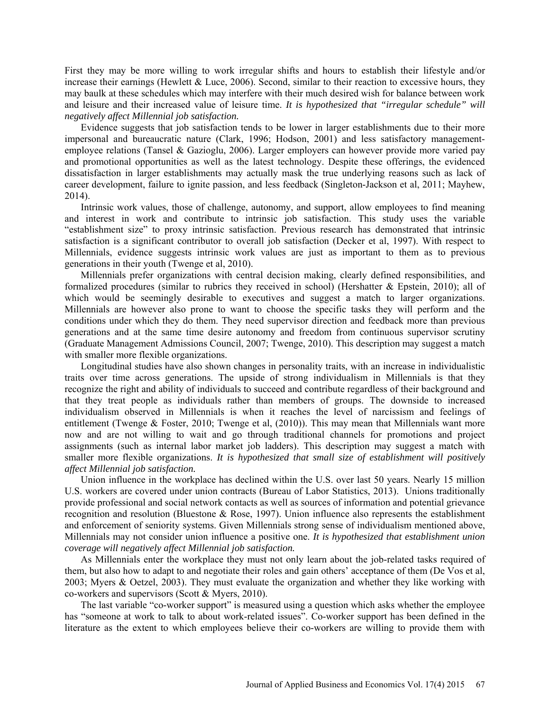First they may be more willing to work irregular shifts and hours to establish their lifestyle and/or increase their earnings (Hewlett  $& Luce, 2006$ ). Second, similar to their reaction to excessive hours, they may baulk at these schedules which may interfere with their much desired wish for balance between work and leisure and their increased value of leisure time. *It is hypothesized that "irregular schedule" will negatively affect Millennial job satisfaction.*

Evidence suggests that job satisfaction tends to be lower in larger establishments due to their more impersonal and bureaucratic nature (Clark, 1996; Hodson, 2001) and less satisfactory managementemployee relations (Tansel & Gazioglu, 2006). Larger employers can however provide more varied pay and promotional opportunities as well as the latest technology. Despite these offerings, the evidenced dissatisfaction in larger establishments may actually mask the true underlying reasons such as lack of career development, failure to ignite passion, and less feedback (Singleton-Jackson et al, 2011; Mayhew, 2014).

Intrinsic work values, those of challenge, autonomy, and support, allow employees to find meaning and interest in work and contribute to intrinsic job satisfaction. This study uses the variable "establishment size" to proxy intrinsic satisfaction. Previous research has demonstrated that intrinsic satisfaction is a significant contributor to overall job satisfaction (Decker et al, 1997). With respect to Millennials, evidence suggests intrinsic work values are just as important to them as to previous generations in their youth (Twenge et al, 2010).

Millennials prefer organizations with central decision making, clearly defined responsibilities, and formalized procedures (similar to rubrics they received in school) (Hershatter & Epstein, 2010); all of which would be seemingly desirable to executives and suggest a match to larger organizations. Millennials are however also prone to want to choose the specific tasks they will perform and the conditions under which they do them. They need supervisor direction and feedback more than previous generations and at the same time desire autonomy and freedom from continuous supervisor scrutiny (Graduate Management Admissions Council, 2007; Twenge, 2010). This description may suggest a match with smaller more flexible organizations.

Longitudinal studies have also shown changes in personality traits, with an increase in individualistic traits over time across generations. The upside of strong individualism in Millennials is that they recognize the right and ability of individuals to succeed and contribute regardless of their background and that they treat people as individuals rather than members of groups. The downside to increased individualism observed in Millennials is when it reaches the level of narcissism and feelings of entitlement (Twenge & Foster, 2010; Twenge et al, (2010)). This may mean that Millennials want more now and are not willing to wait and go through traditional channels for promotions and project assignments (such as internal labor market job ladders). This description may suggest a match with smaller more flexible organizations. *It is hypothesized that small size of establishment will positively affect Millennial job satisfaction.*

Union influence in the workplace has declined within the U.S. over last 50 years. Nearly 15 million U.S. workers are covered under union contracts (Bureau of Labor Statistics, 2013). Unions traditionally provide professional and social network contacts as well as sources of information and potential grievance recognition and resolution (Bluestone & Rose, 1997). Union influence also represents the establishment and enforcement of seniority systems. Given Millennials strong sense of individualism mentioned above, Millennials may not consider union influence a positive one. *It is hypothesized that establishment union coverage will negatively affect Millennial job satisfaction.*

As Millennials enter the workplace they must not only learn about the job-related tasks required of them, but also how to adapt to and negotiate their roles and gain others' acceptance of them (De Vos et al, 2003; Myers & Oetzel, 2003). They must evaluate the organization and whether they like working with co-workers and supervisors (Scott & Myers, 2010).

The last variable "co-worker support" is measured using a question which asks whether the employee has "someone at work to talk to about work-related issues". Co-worker support has been defined in the literature as the extent to which employees believe their co-workers are willing to provide them with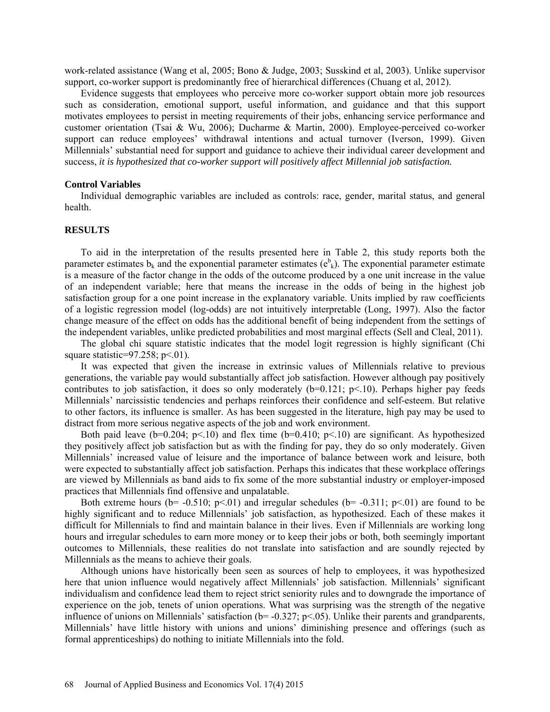work-related assistance (Wang et al, 2005; Bono & Judge, 2003; Susskind et al, 2003). Unlike supervisor support, co-worker support is predominantly free of hierarchical differences (Chuang et al, 2012).

Evidence suggests that employees who perceive more co-worker support obtain more job resources such as consideration, emotional support, useful information, and guidance and that this support motivates employees to persist in meeting requirements of their jobs, enhancing service performance and customer orientation (Tsai & Wu, 2006); Ducharme & Martin, 2000). Employee-perceived co-worker support can reduce employees' withdrawal intentions and actual turnover (Iverson, 1999). Given Millennials' substantial need for support and guidance to achieve their individual career development and success, *it is hypothesized that co-worker support will positively affect Millennial job satisfaction.*

### **Control Variables**

Individual demographic variables are included as controls: race, gender, marital status, and general health.

### **RESULTS**

To aid in the interpretation of the results presented here in Table 2, this study reports both the parameter estimates  $b_k$  and the exponential parameter estimates ( $e^b_k$ ). The exponential parameter estimate is a measure of the factor change in the odds of the outcome produced by a one unit increase in the value of an independent variable; here that means the increase in the odds of being in the highest job satisfaction group for a one point increase in the explanatory variable. Units implied by raw coefficients of a logistic regression model (log-odds) are not intuitively interpretable (Long, 1997). Also the factor change measure of the effect on odds has the additional benefit of being independent from the settings of the independent variables, unlike predicted probabilities and most marginal effects (Sell and Cleal, 2011).

The global chi square statistic indicates that the model logit regression is highly significant (Chi square statistic= $97.258$ ; p<.01).

It was expected that given the increase in extrinsic values of Millennials relative to previous generations, the variable pay would substantially affect job satisfaction. However although pay positively contributes to job satisfaction, it does so only moderately  $(b=0.121; p<10)$ . Perhaps higher pay feeds Millennials' narcissistic tendencies and perhaps reinforces their confidence and self-esteem. But relative to other factors, its influence is smaller. As has been suggested in the literature, high pay may be used to distract from more serious negative aspects of the job and work environment.

Both paid leave (b=0.204;  $p<10$ ) and flex time (b=0.410;  $p<10$ ) are significant. As hypothesized they positively affect job satisfaction but as with the finding for pay, they do so only moderately. Given Millennials' increased value of leisure and the importance of balance between work and leisure, both were expected to substantially affect job satisfaction. Perhaps this indicates that these workplace offerings are viewed by Millennials as band aids to fix some of the more substantial industry or employer-imposed practices that Millennials find offensive and unpalatable.

Both extreme hours ( $b$ = -0.510;  $p$ <.01) and irregular schedules ( $b$ = -0.311;  $p$ <.01) are found to be highly significant and to reduce Millennials' job satisfaction, as hypothesized. Each of these makes it difficult for Millennials to find and maintain balance in their lives. Even if Millennials are working long hours and irregular schedules to earn more money or to keep their jobs or both, both seemingly important outcomes to Millennials, these realities do not translate into satisfaction and are soundly rejected by Millennials as the means to achieve their goals.

Although unions have historically been seen as sources of help to employees, it was hypothesized here that union influence would negatively affect Millennials' job satisfaction. Millennials' significant individualism and confidence lead them to reject strict seniority rules and to downgrade the importance of experience on the job, tenets of union operations. What was surprising was the strength of the negative influence of unions on Millennials' satisfaction (b= -0.327; p<.05). Unlike their parents and grandparents, Millennials' have little history with unions and unions' diminishing presence and offerings (such as formal apprenticeships) do nothing to initiate Millennials into the fold.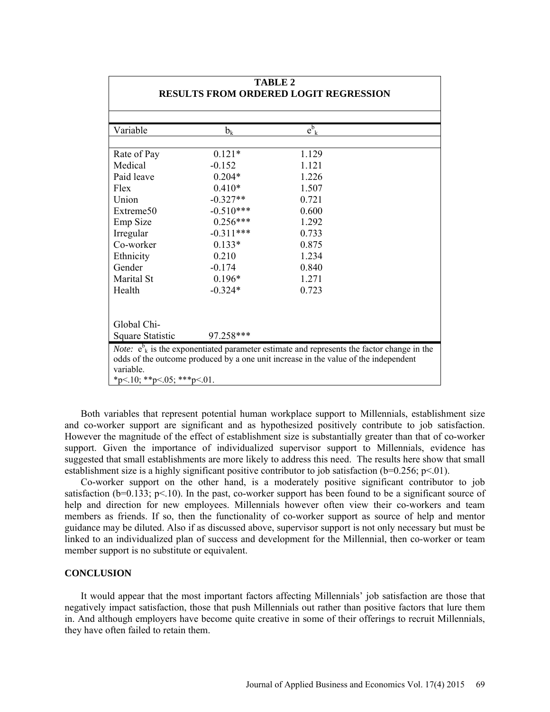| <b>TABLE 2</b><br><b>RESULTS FROM ORDERED LOGIT REGRESSION</b> |             |                                                                                                                                                                                                          |  |  |  |
|----------------------------------------------------------------|-------------|----------------------------------------------------------------------------------------------------------------------------------------------------------------------------------------------------------|--|--|--|
|                                                                |             |                                                                                                                                                                                                          |  |  |  |
| Variable                                                       | $b_k$       | $e^{b}_{k}$                                                                                                                                                                                              |  |  |  |
| Rate of Pay                                                    | $0.121*$    | 1.129                                                                                                                                                                                                    |  |  |  |
| Medical                                                        | $-0.152$    | 1.121                                                                                                                                                                                                    |  |  |  |
| Paid leave                                                     | $0.204*$    | 1.226                                                                                                                                                                                                    |  |  |  |
| Flex                                                           | $0.410*$    | 1.507                                                                                                                                                                                                    |  |  |  |
| Union                                                          | $-0.327**$  | 0.721                                                                                                                                                                                                    |  |  |  |
| Extreme50                                                      | $-0.510***$ | 0.600                                                                                                                                                                                                    |  |  |  |
| Emp Size                                                       | $0.256***$  | 1.292                                                                                                                                                                                                    |  |  |  |
| Irregular                                                      | $-0.311***$ | 0.733                                                                                                                                                                                                    |  |  |  |
| Co-worker                                                      | $0.133*$    | 0.875                                                                                                                                                                                                    |  |  |  |
| Ethnicity                                                      | 0.210       | 1.234                                                                                                                                                                                                    |  |  |  |
| Gender                                                         | $-0.174$    | 0.840                                                                                                                                                                                                    |  |  |  |
| Marital St                                                     | $0.196*$    | 1.271                                                                                                                                                                                                    |  |  |  |
| Health                                                         | $-0.324*$   | 0.723                                                                                                                                                                                                    |  |  |  |
| Global Chi-                                                    |             |                                                                                                                                                                                                          |  |  |  |
| Square Statistic                                               | 97.258***   |                                                                                                                                                                                                          |  |  |  |
| variable.<br>*p<.10; **p<.05; ***p<.01.                        |             | <i>Note:</i> $e^{b}$ <sub>k</sub> is the exponentiated parameter estimate and represents the factor change in the<br>odds of the outcome produced by a one unit increase in the value of the independent |  |  |  |

Both variables that represent potential human workplace support to Millennials, establishment size and co-worker support are significant and as hypothesized positively contribute to job satisfaction. However the magnitude of the effect of establishment size is substantially greater than that of co-worker support. Given the importance of individualized supervisor support to Millennials, evidence has suggested that small establishments are more likely to address this need. The results here show that small establishment size is a highly significant positive contributor to job satisfaction ( $b=0.256$ ;  $p<01$ ).

Co-worker support on the other hand, is a moderately positive significant contributor to job satisfaction ( $b=0.133$ ;  $p<10$ ). In the past, co-worker support has been found to be a significant source of help and direction for new employees. Millennials however often view their co-workers and team members as friends. If so, then the functionality of co-worker support as source of help and mentor guidance may be diluted. Also if as discussed above, supervisor support is not only necessary but must be linked to an individualized plan of success and development for the Millennial, then co-worker or team member support is no substitute or equivalent.

### **CONCLUSION**

It would appear that the most important factors affecting Millennials' job satisfaction are those that negatively impact satisfaction, those that push Millennials out rather than positive factors that lure them in. And although employers have become quite creative in some of their offerings to recruit Millennials, they have often failed to retain them.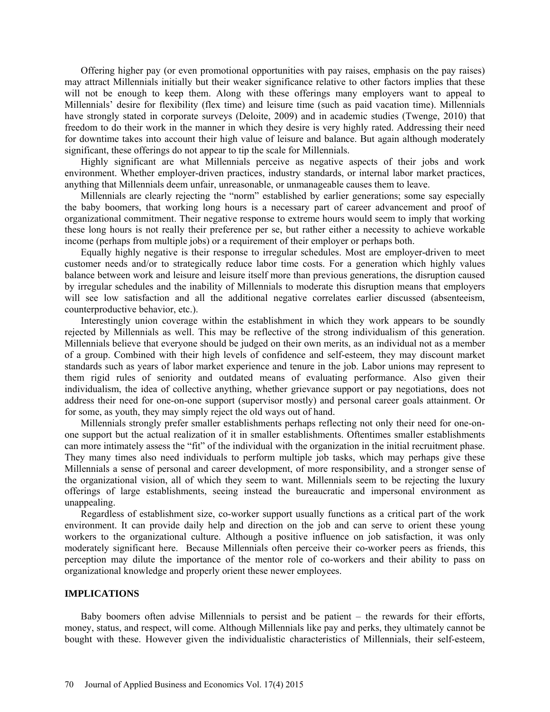Offering higher pay (or even promotional opportunities with pay raises, emphasis on the pay raises) may attract Millennials initially but their weaker significance relative to other factors implies that these will not be enough to keep them. Along with these offerings many employers want to appeal to Millennials' desire for flexibility (flex time) and leisure time (such as paid vacation time). Millennials have strongly stated in corporate surveys (Deloite, 2009) and in academic studies (Twenge, 2010) that freedom to do their work in the manner in which they desire is very highly rated. Addressing their need for downtime takes into account their high value of leisure and balance. But again although moderately significant, these offerings do not appear to tip the scale for Millennials.

Highly significant are what Millennials perceive as negative aspects of their jobs and work environment. Whether employer-driven practices, industry standards, or internal labor market practices, anything that Millennials deem unfair, unreasonable, or unmanageable causes them to leave.

Millennials are clearly rejecting the "norm" established by earlier generations; some say especially the baby boomers, that working long hours is a necessary part of career advancement and proof of organizational commitment. Their negative response to extreme hours would seem to imply that working these long hours is not really their preference per se, but rather either a necessity to achieve workable income (perhaps from multiple jobs) or a requirement of their employer or perhaps both.

Equally highly negative is their response to irregular schedules. Most are employer-driven to meet customer needs and/or to strategically reduce labor time costs. For a generation which highly values balance between work and leisure and leisure itself more than previous generations, the disruption caused by irregular schedules and the inability of Millennials to moderate this disruption means that employers will see low satisfaction and all the additional negative correlates earlier discussed (absenteeism, counterproductive behavior, etc.).

Interestingly union coverage within the establishment in which they work appears to be soundly rejected by Millennials as well. This may be reflective of the strong individualism of this generation. Millennials believe that everyone should be judged on their own merits, as an individual not as a member of a group. Combined with their high levels of confidence and self-esteem, they may discount market standards such as years of labor market experience and tenure in the job. Labor unions may represent to them rigid rules of seniority and outdated means of evaluating performance. Also given their individualism, the idea of collective anything, whether grievance support or pay negotiations, does not address their need for one-on-one support (supervisor mostly) and personal career goals attainment. Or for some, as youth, they may simply reject the old ways out of hand.

Millennials strongly prefer smaller establishments perhaps reflecting not only their need for one-onone support but the actual realization of it in smaller establishments. Oftentimes smaller establishments can more intimately assess the "fit" of the individual with the organization in the initial recruitment phase. They many times also need individuals to perform multiple job tasks, which may perhaps give these Millennials a sense of personal and career development, of more responsibility, and a stronger sense of the organizational vision, all of which they seem to want. Millennials seem to be rejecting the luxury offerings of large establishments, seeing instead the bureaucratic and impersonal environment as unappealing.

Regardless of establishment size, co-worker support usually functions as a critical part of the work environment. It can provide daily help and direction on the job and can serve to orient these young workers to the organizational culture. Although a positive influence on job satisfaction, it was only moderately significant here. Because Millennials often perceive their co-worker peers as friends, this perception may dilute the importance of the mentor role of co-workers and their ability to pass on organizational knowledge and properly orient these newer employees.

### **IMPLICATIONS**

Baby boomers often advise Millennials to persist and be patient – the rewards for their efforts, money, status, and respect, will come. Although Millennials like pay and perks, they ultimately cannot be bought with these. However given the individualistic characteristics of Millennials, their self-esteem,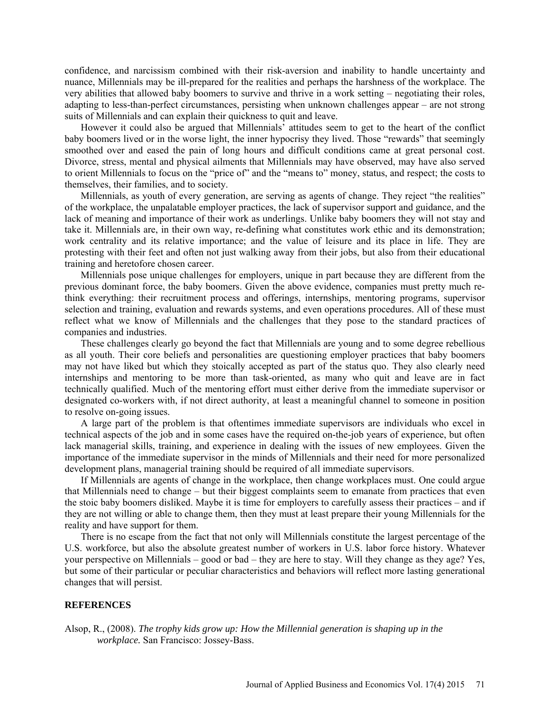confidence, and narcissism combined with their risk-aversion and inability to handle uncertainty and nuance, Millennials may be ill-prepared for the realities and perhaps the harshness of the workplace. The very abilities that allowed baby boomers to survive and thrive in a work setting – negotiating their roles, adapting to less-than-perfect circumstances, persisting when unknown challenges appear – are not strong suits of Millennials and can explain their quickness to quit and leave.

However it could also be argued that Millennials' attitudes seem to get to the heart of the conflict baby boomers lived or in the worse light, the inner hypocrisy they lived. Those "rewards" that seemingly smoothed over and eased the pain of long hours and difficult conditions came at great personal cost. Divorce, stress, mental and physical ailments that Millennials may have observed, may have also served to orient Millennials to focus on the "price of" and the "means to" money, status, and respect; the costs to themselves, their families, and to society.

Millennials, as youth of every generation, are serving as agents of change. They reject "the realities" of the workplace, the unpalatable employer practices, the lack of supervisor support and guidance, and the lack of meaning and importance of their work as underlings. Unlike baby boomers they will not stay and take it. Millennials are, in their own way, re-defining what constitutes work ethic and its demonstration; work centrality and its relative importance; and the value of leisure and its place in life. They are protesting with their feet and often not just walking away from their jobs, but also from their educational training and heretofore chosen career.

Millennials pose unique challenges for employers, unique in part because they are different from the previous dominant force, the baby boomers. Given the above evidence, companies must pretty much rethink everything: their recruitment process and offerings, internships, mentoring programs, supervisor selection and training, evaluation and rewards systems, and even operations procedures. All of these must reflect what we know of Millennials and the challenges that they pose to the standard practices of companies and industries.

These challenges clearly go beyond the fact that Millennials are young and to some degree rebellious as all youth. Their core beliefs and personalities are questioning employer practices that baby boomers may not have liked but which they stoically accepted as part of the status quo. They also clearly need internships and mentoring to be more than task-oriented, as many who quit and leave are in fact technically qualified. Much of the mentoring effort must either derive from the immediate supervisor or designated co-workers with, if not direct authority, at least a meaningful channel to someone in position to resolve on-going issues.

A large part of the problem is that oftentimes immediate supervisors are individuals who excel in technical aspects of the job and in some cases have the required on-the-job years of experience, but often lack managerial skills, training, and experience in dealing with the issues of new employees. Given the importance of the immediate supervisor in the minds of Millennials and their need for more personalized development plans, managerial training should be required of all immediate supervisors.

If Millennials are agents of change in the workplace, then change workplaces must. One could argue that Millennials need to change – but their biggest complaints seem to emanate from practices that even the stoic baby boomers disliked. Maybe it is time for employers to carefully assess their practices – and if they are not willing or able to change them, then they must at least prepare their young Millennials for the reality and have support for them.

There is no escape from the fact that not only will Millennials constitute the largest percentage of the U.S. workforce, but also the absolute greatest number of workers in U.S. labor force history. Whatever your perspective on Millennials – good or bad – they are here to stay. Will they change as they age? Yes, but some of their particular or peculiar characteristics and behaviors will reflect more lasting generational changes that will persist.

### **REFERENCES**

Alsop, R., (2008). *The trophy kids grow up: How the Millennial generation is shaping up in the workplace.* San Francisco: Jossey-Bass.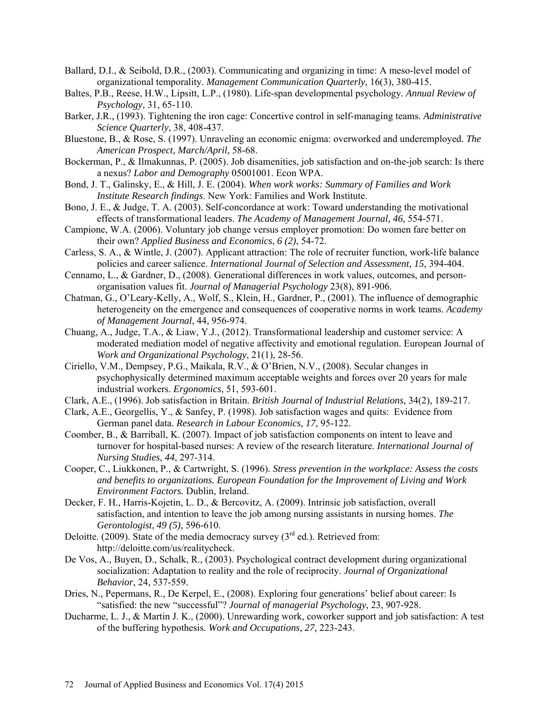- Ballard, D.I., & Seibold, D.R., (2003). Communicating and organizing in time: A meso-level model of organizational temporality. *Management Communication Quarterly*, 16(3), 380-415.
- Baltes, P.B., Reese, H.W., Lipsitt, L.P., (1980). Life-span developmental psychology. *Annual Review of Psychology*, 31, 65-110.
- Barker, J.R., (1993). Tightening the iron cage: Concertive control in self-managing teams. *Administrative Science Quarterly*, 38, 408-437.
- Bluestone, B., & Rose, S. (1997). Unraveling an economic enigma: overworked and underemployed. *The American Prospect, March/April*, 58-68.
- Bockerman, P., & Ilmakunnas, P. (2005). Job disamenities, job satisfaction and on-the-job search: Is there a nexus? *Labor and Demography* 05001001. Econ WPA.
- Bond, J. T., Galinsky, E., & Hill, J. E. (2004). *When work works: Summary of Families and Work Institute Research findings*. New York: Families and Work Institute.
- Bono, J. E., & Judge, T. A. (2003). Self-concordance at work: Toward understanding the motivational effects of transformational leaders. *The Academy of Management Journal, 46,* 554-571.
- Campione, W.A. (2006). Voluntary job change versus employer promotion: Do women fare better on their own? *Applied Business and Economics*, *6 (2)*, 54-72.
- Carless, S. A., & Wintle, J. (2007). Applicant attraction: The role of recruiter function, work-life balance policies and career salience. *International Journal of Selection and Assessment, 15,* 394-404.
- Cennamo, L., & Gardner, D., (2008). Generational differences in work values, outcomes, and personorganisation values fit. *Journal of Managerial Psychology* 23(8), 891-906.
- Chatman, G., O'Leary-Kelly, A., Wolf, S., Klein, H., Gardner, P., (2001). The influence of demographic heterogeneity on the emergence and consequences of cooperative norms in work teams. *Academy of Management Journal*, 44, 956-974.
- Chuang, A., Judge, T.A., & Liaw, Y.J., (2012). Transformational leadership and customer service: A moderated mediation model of negative affectivity and emotional regulation. European Journal of *Work and Organizational Psychology*, 21(1), 28-56.
- Ciriello, V.M., Dempsey, P.G., Maikala, R.V., & O'Brien, N.V., (2008). Secular changes in psychophysically determined maximum acceptable weights and forces over 20 years for male industrial workers. *Ergonomics*, 51, 593-601.
- Clark, A.E., (1996). Job satisfaction in Britain. *British Journal of Industrial Relations*, 34(2), 189-217.
- Clark, A.E., Georgellis, Y., & Sanfey, P. (1998). Job satisfaction wages and quits: Evidence from German panel data. *Research in Labour Economics, 17*, 95-122.
- Coomber, B., & Barriball, K. (2007). Impact of job satisfaction components on intent to leave and turnover for hospital-based nurses: A review of the research literature. *International Journal of Nursing Studies*, *44*, 297-314.
- Cooper, C., Liukkonen, P., & Cartwright, S. (1996). *Stress prevention in the workplace: Assess the costs and benefits to organizations. European Foundation for the Improvement of Living and Work Environment Factors.* Dublin, Ireland.
- Decker, F. H., Harris-Kojetin, L. D., & Bercovitz, A. (2009). Intrinsic job satisfaction, overall satisfaction, and intention to leave the job among nursing assistants in nursing homes. *The Gerontologist*, *49 (5)*, 596-610.
- Deloitte. (2009). State of the media democracy survey ( $3<sup>rd</sup>$  ed.). Retrieved from: [http://deloitte.com/us/realitycheck.](http://deloitte.com/us/realitycheck)
- De Vos, A., Buyen, D., Schalk, R., (2003). Psychological contract development during organizational socialization: Adaptation to reality and the role of reciprocity. *Journal of Organizational Behavior*, 24, 537-559.
- Dries, N., Pepermans, R., De Kerpel, E., (2008). Exploring four generations' belief about career: Is "satisfied: the new "successful"? *Journal of managerial Psychology*, 23, 907-928.
- Ducharme, L. J., & Martin J. K., (2000). Unrewarding work, coworker support and job satisfaction: A test of the buffering hypothesis. *Work and Occupations, 27,* 223-243.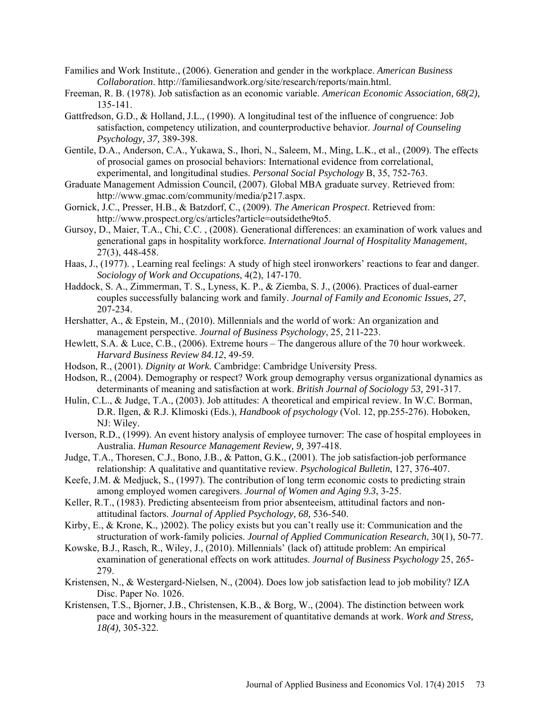- Families and Work Institute., (2006). Generation and gender in the workplace. *American Business Collaboration*. [http://familiesandwork.org/site/research/reports/main.html.](http://familiesandwork.org/site/research/reports/main.html)
- Freeman, R. B. (1978). Job satisfaction as an economic variable. *American Economic Association, 68(2),* 135-141.
- Gattfredson, G.D., & Holland, J.L., (1990). A longitudinal test of the influence of congruence: Job satisfaction, competency utilization, and counterproductive behavior. *Journal of Counseling Psychology, 37,* 389-398.
- Gentile, D.A., Anderson, C.A., Yukawa, S., Ihori, N., Saleem, M., Ming, L.K., et al., (2009). The effects of prosocial games on prosocial behaviors: International evidence from correlational, experimental, and longitudinal studies. *Personal Social Psychology* B, 35, 752-763.
- Graduate Management Admission Council, (2007). Global MBA graduate survey. Retrieved from: [http://www.gmac.com/community/media/p217.aspx.](http://www.gmac.com/community/media/p217.aspx)
- Gornick, J.C., Presser, H.B., & Batzdorf, C., (2009). *The American Prospect*. Retrieved from: [http://www.prospect.org/cs/articles?article=outsidethe9to5.](http://www.prospect.org/cs/articles?article=outsidethe9to5)
- Gursoy, D., Maier, T.A., Chi, C.C. , (2008). Generational differences: an examination of work values and generational gaps in hospitality workforce. *International Journal of Hospitality Management*, 27(3), 448-458.
- Haas, J., (1977). , Learning real feelings: A study of high steel ironworkers' reactions to fear and danger. *Sociology of Work and Occupations*, 4(2), 147-170.
- Haddock, S. A., Zimmerman, T. S., Lyness, K. P., & Ziemba, S. J., (2006). Practices of dual-earner couples successfully balancing work and family. *Journal of Family and Economic Issues, 27*, 207-234.
- Hershatter, A., & Epstein, M., (2010). Millennials and the world of work: An organization and management perspective. *Journal of Business Psychology*, 25, 211-223.
- Hewlett, S.A. & Luce, C.B., (2006). Extreme hours The dangerous allure of the 70 hour workweek. *Harvard Business Review 84.12*, 49-59.
- Hodson, R., (2001). *Dignity at Work.* Cambridge: Cambridge University Press.
- Hodson, R., (2004). Demography or respect? Work group demography versus organizational dynamics as determinants of meaning and satisfaction at work. *British Journal of Sociology 53,* 291-317.
- Hulin, C.L., & Judge, T.A., (2003). Job attitudes: A theoretical and empirical review. In W.C. Borman, D.R. Ilgen, & R.J. Klimoski (Eds.), *Handbook of psychology* (Vol. 12, pp.255-276). Hoboken, NJ: Wiley.
- Iverson, R.D., (1999). An event history analysis of employee turnover: The case of hospital employees in Australia. *Human Resource Management Review, 9,* 397-418.
- Judge, T.A., Thoresen, C.J., Bono, J.B., & Patton, G.K., (2001). The job satisfaction-job performance relationship: A qualitative and quantitative review. *Psychological Bulletin*, 127, 376-407.
- Keefe, J.M. & Medjuck, S., (1997). The contribution of long term economic costs to predicting strain among employed women caregivers. *Journal of Women and Aging 9.3*, 3-25.
- Keller, R.T., (1983). Predicting absenteeism from prior absenteeism, attitudinal factors and nonattitudinal factors. *Journal of Applied Psychology, 68,* 536-540.
- Kirby, E., & Krone, K., )2002). The policy exists but you can't really use it: Communication and the structuration of work-family policies. *Journal of Applied Communication Research*, 30(1), 50-77.
- Kowske, B.J., Rasch, R., Wiley, J., (2010). Millennials' (lack of) attitude problem: An empirical examination of generational effects on work attitudes. *Journal of Business Psychology* 25, 265- 279.
- Kristensen, N., & Westergard-Nielsen, N., (2004). Does low job satisfaction lead to job mobility? IZA Disc. Paper No. 1026.
- Kristensen, T.S., Bjorner, J.B., Christensen, K.B., & Borg, W., (2004). The distinction between work pace and working hours in the measurement of quantitative demands at work. *Work and Stress, 18(4),* 305-322.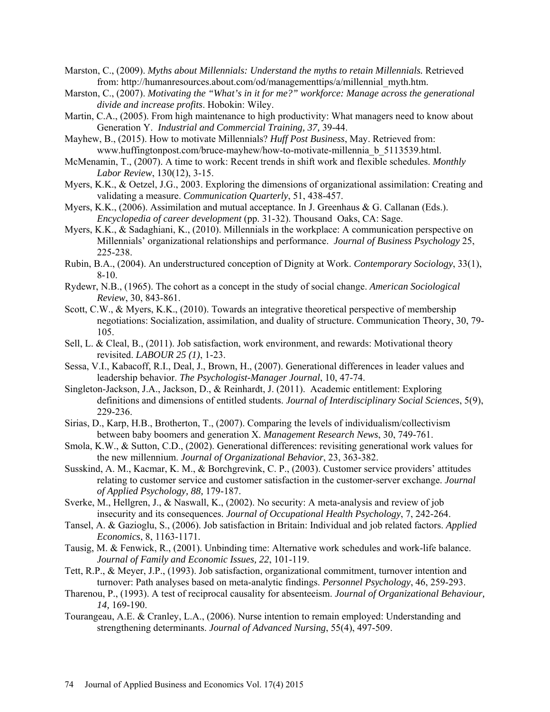- Marston, C., (2009). *Myths about Millennials: Understand the myths to retain Millennials.* Retrieved from: [http://humanresources.about.com/od/managementtips/a/millennial\\_myth.htm.](http://humanresources.about.com/od/managementtips/a/millennial_myth.htm)
- Marston, C., (2007). *Motivating the "What's in it for me?" workforce: Manage across the generational divide and increase profits*. Hobokin: Wiley.
- Martin, C.A., (2005). From high maintenance to high productivity: What managers need to know about Generation Y. *Industrial and Commercial Training, 37,* 39-44.
- Mayhew, B., (2015). How to motivate Millennials? *Huff Post Business*, May. Retrieved from: [www.huffingtonpost.com/bruce-mayhew/how-to-motivate-millennia\\_b\\_5113539.html.](http://www.huffingtonpost.com/bruce-mayhew/how-to-motivate-millennia_b_5113539.html)
- McMenamin, T., (2007). A time to work: Recent trends in shift work and flexible schedules. *Monthly Labor Review*, 130(12), 3-15.
- Myers, K.K., & Oetzel, J.G., 2003. Exploring the dimensions of organizational assimilation: Creating and validating a measure. *Communication Quarterly*, 51, 438-457.
- Myers, K.K., (2006). Assimilation and mutual acceptance. In J. Greenhaus & G. Callanan (Eds.). *Encyclopedia of career development* (pp. 31-32). Thousand Oaks, CA: Sage.
- Myers, K.K., & Sadaghiani, K., (2010). Millennials in the workplace: A communication perspective on Millennials' organizational relationships and performance. *Journal of Business Psychology* 25, 225-238.
- Rubin, B.A., (2004). An understructured conception of Dignity at Work. *Contemporary Sociology*, 33(1), 8-10.
- Rydewr, N.B., (1965). The cohort as a concept in the study of social change. *American Sociological Review*, 30, 843-861.
- Scott, C.W., & Myers, K.K., (2010). Towards an integrative theoretical perspective of membership negotiations: Socialization, assimilation, and duality of structure. Communication Theory, 30, 79- 105.
- Sell, L. & Cleal, B., (2011). Job satisfaction, work environment, and rewards: Motivational theory revisited. *LABOUR 25 (1)*, 1-23.
- Sessa, V.I., Kabacoff, R.I., Deal, J., Brown, H., (2007). Generational differences in leader values and leadership behavior. *The Psychologist-Manager Journal*, 10, 47-74.
- Singleton-Jackson, J.A., Jackson, D., & Reinhardt, J. (2011). Academic entitlement: Exploring definitions and dimensions of entitled students. *Journal of Interdisciplinary Social Sciences*, 5(9), 229-236.
- Sirias, D., Karp, H.B., Brotherton, T., (2007). Comparing the levels of individualism/collectivism between baby boomers and generation X. *Management Research News*, 30, 749-761.
- Smola, K.W., & Sutton, C.D., (2002). Generational differences: revisiting generational work values for the new millennium. *Journal of Organizational Behavior*, 23, 363-382.
- Susskind, A. M., Kacmar, K. M., & Borchgrevink, C. P., (2003). Customer service providers' attitudes relating to customer service and customer satisfaction in the customer-server exchange. *Journal of Applied Psychology, 88,* 179-187.
- Sverke, M., Hellgren, J., & Naswall, K., (2002). No security: A meta-analysis and review of job insecurity and its consequences. *Journal of Occupational Health Psychology*, 7, 242-264.
- Tansel, A. & Gazioglu, S., (2006). Job satisfaction in Britain: Individual and job related factors. *Applied Economics*, 8, 1163-1171.
- Tausig, M. & Fenwick, R., (2001). Unbinding time: Alternative work schedules and work-life balance. *Journal of Family and Economic Issues, 22*, 101-119.
- Tett, R.P., & Meyer, J.P., (1993). Job satisfaction, organizational commitment, turnover intention and turnover: Path analyses based on meta-analytic findings. *Personnel Psychology*, 46, 259-293.
- Tharenou, P., (1993). A test of reciprocal causality for absenteeism. *Journal of Organizational Behaviour, 14,* 169-190.
- Tourangeau, A.E. & Cranley, L.A., (2006). Nurse intention to remain employed: Understanding and strengthening determinants. *Journal of Advanced Nursing*, 55(4), 497-509.